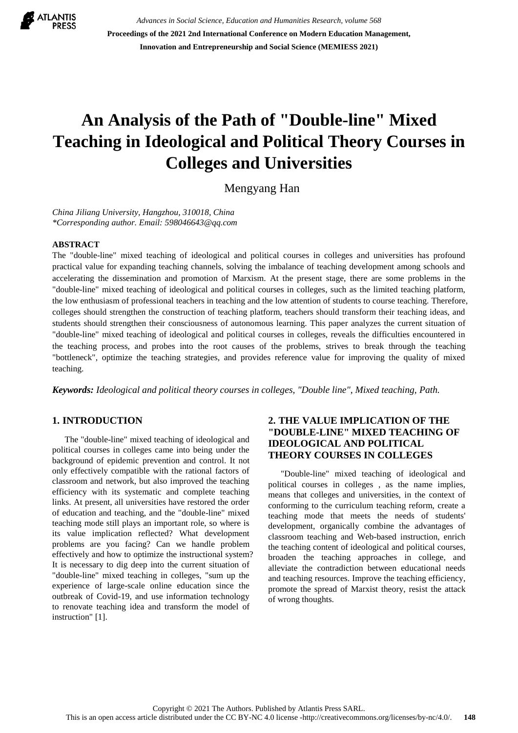

*Advances in Social Science, Education and Humanities Research, volume 568* **Proceedings of the 2021 2nd International Conference on Modern Education Management, Innovation and Entrepreneurship and Social Science (MEMIESS 2021)**

# **An Analysis of the Path of "Double-line" Mixed Teaching in Ideological and Political Theory Courses in Colleges and Universities**

Mengyang Han

*China Jiliang University, Hangzhou, 310018, China \*Corresponding author. Email: 598046643@qq.com*

#### **ABSTRACT**

The "double-line" mixed teaching of ideological and political courses in colleges and universities has profound practical value for expanding teaching channels, solving the imbalance of teaching development among schools and accelerating the dissemination and promotion of Marxism. At the present stage, there are some problems in the "double-line" mixed teaching of ideological and political courses in colleges, such as the limited teaching platform, the low enthusiasm of professional teachers in teaching and the low attention of students to course teaching. Therefore, colleges should strengthen the construction of teaching platform, teachers should transform their teaching ideas, and students should strengthen their consciousness of autonomous learning. This paper analyzes the current situation of "double-line" mixed teaching of ideological and political courses in colleges, reveals the difficulties encountered in the teaching process, and probes into the root causes of the problems, strives to break through the teaching "bottleneck", optimize the teaching strategies, and provides reference value for improving the quality of mixed teaching.

*Keywords: Ideological and political theory courses in colleges, "Double line", Mixed teaching, Path.*

#### **1. INTRODUCTION**

The "double-line" mixed teaching of ideological and political courses in colleges came into being under the background of epidemic prevention and control. It not only effectively compatible with the rational factors of classroom and network, but also improved the teaching efficiency with its systematic and complete teaching links. At present, all universities have restored the order of education and teaching, and the "double-line" mixed teaching mode still plays an important role, so where is its value implication reflected? What development problems are you facing? Can we handle problem effectively and how to optimize the instructional system? It is necessary to dig deep into the current situation of "double-line" mixed teaching in colleges, "sum up the experience of large-scale online education since the outbreak of Covid-19, and use information technology to renovate teaching idea and transform the model of instruction" [1].

#### **2. THE VALUE IMPLICATION OF THE "DOUBLE-LINE" MIXED TEACHING OF IDEOLOGICAL AND POLITICAL THEORY COURSES IN COLLEGES**

"Double-line" mixed teaching of ideological and political courses in colleges , as the name implies, means that colleges and universities, in the context of conforming to the curriculum teaching reform, create a teaching mode that meets the needs of students' development, organically combine the advantages of classroom teaching and Web-based instruction, enrich the teaching content of ideological and political courses, broaden the teaching approaches in college, and alleviate the contradiction between educational needs and teaching resources. Improve the teaching efficiency, promote the spread of Marxist theory, resist the attack of wrong thoughts.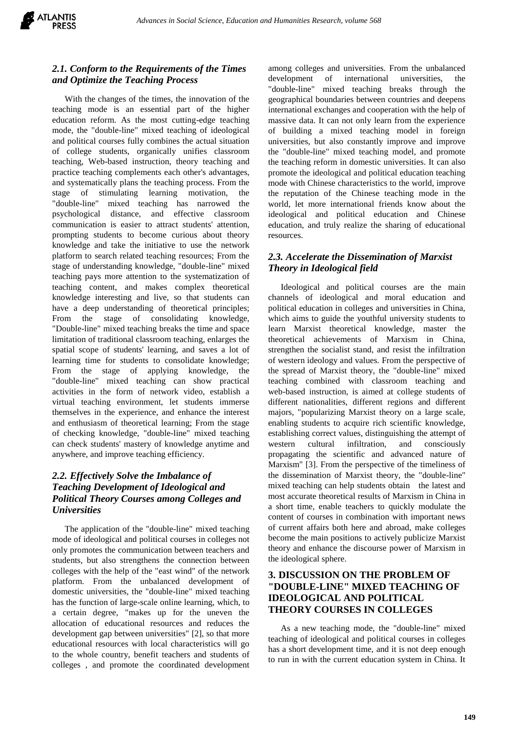

#### *2.1. Conform to the Requirements of the Times and Optimize the Teaching Process*

With the changes of the times, the innovation of the teaching mode is an essential part of the higher education reform. As the most cutting-edge teaching mode, the "double-line" mixed teaching of ideological and political courses fully combines the actual situation of college students, organically unifies classroom teaching, Web-based instruction, theory teaching and practice teaching complements each other's advantages, and systematically plans the teaching process. From the stage of stimulating learning motivation, the "double-line" mixed teaching has narrowed the psychological distance, and effective classroom communication is easier to attract students' attention, prompting students to become curious about theory knowledge and take the initiative to use the network platform to search related teaching resources; From the stage of understanding knowledge, "double-line" mixed teaching pays more attention to the systematization of teaching content, and makes complex theoretical knowledge interesting and live, so that students can have a deep understanding of theoretical principles; From the stage of consolidating knowledge, "Double-line" mixed teaching breaks the time and space limitation of traditional classroom teaching, enlarges the spatial scope of students' learning, and saves a lot of learning time for students to consolidate knowledge; From the stage of applying knowledge, the "double-line" mixed teaching can show practical activities in the form of network video, establish a virtual teaching environment, let students immerse themselves in the experience, and enhance the interest and enthusiasm of theoretical learning; From the stage of checking knowledge, "double-line" mixed teaching can check students' mastery of knowledge anytime and anywhere, and improve teaching efficiency.

## *2.2. Effectively Solve the Imbalance of Teaching Development of Ideological and Political Theory Courses among Colleges and Universities*

The application of the "double-line" mixed teaching mode of ideological and political courses in colleges not only promotes the communication between teachers and students, but also strengthens the connection between colleges with the help of the "east wind" of the network platform. From the unbalanced development of domestic universities, the "double-line" mixed teaching has the function of large-scale online learning, which, to a certain degree, "makes up for the uneven the allocation of educational resources and reduces the development gap between universities" [2], so that more educational resources with local characteristics will go to the whole country, benefit teachers and students of colleges , and promote the coordinated development among colleges and universities. From the unbalanced development of international universities, the "double-line" mixed teaching breaks through the geographical boundaries between countries and deepens international exchanges and cooperation with the help of massive data. It can not only learn from the experience of building a mixed teaching model in foreign universities, but also constantly improve and improve the "double-line" mixed teaching model, and promote the teaching reform in domestic universities. It can also promote the ideological and political education teaching mode with Chinese characteristics to the world, improve the reputation of the Chinese teaching mode in the world, let more international friends know about the ideological and political education and Chinese education, and truly realize the sharing of educational resources.

## *2.3. Accelerate the Dissemination of Marxist Theory in Ideological field*

Ideological and political courses are the main channels of ideological and moral education and political education in colleges and universities in China, which aims to guide the youthful university students to learn Marxist theoretical knowledge, master the theoretical achievements of Marxism in China, strengthen the socialist stand, and resist the infiltration of western ideology and values. From the perspective of the spread of Marxist theory, the "double-line" mixed teaching combined with classroom teaching and web-based instruction, is aimed at college students of different nationalities, different regions and different majors, "popularizing Marxist theory on a large scale, enabling students to acquire rich scientific knowledge, establishing correct values, distinguishing the attempt of western cultural infiltration, and consciously propagating the scientific and advanced nature of Marxism" [3]. From the perspective of the timeliness of the dissemination of Marxist theory, the "double-line" mixed teaching can help students obtain the latest and most accurate theoretical results of Marxism in China in a short time, enable teachers to quickly modulate the content of courses in combination with important news of current affairs both here and abroad, make colleges become the main positions to actively publicize Marxist theory and enhance the discourse power of Marxism in the ideological sphere.

#### **3. DISCUSSION ON THE PROBLEM OF "DOUBLE-LINE" MIXED TEACHING OF IDEOLOGICAL AND POLITICAL THEORY COURSES IN COLLEGES**

As a new teaching mode, the "double-line" mixed teaching of ideological and political courses in colleges has a short development time, and it is not deep enough to run in with the current education system in China. It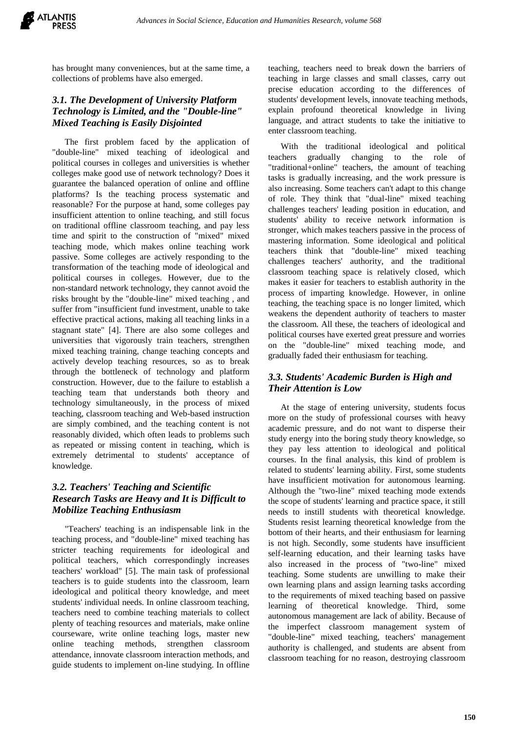has brought many conveniences, but at the same time, a collections of problems have also emerged.

### *3.1. The Development of University Platform Technology is Limited, and the "Double-line" Mixed Teaching is Easily Disjointed*

The first problem faced by the application of "double-line" mixed teaching of ideological and political courses in colleges and universities is whether colleges make good use of network technology? Does it guarantee the balanced operation of online and offline platforms? Is the teaching process systematic and reasonable? For the purpose at hand, some colleges pay insufficient attention to online teaching, and still focus on traditional offline classroom teaching, and pay less time and spirit to the construction of "mixed" mixed teaching mode, which makes online teaching work passive. Some colleges are actively responding to the transformation of the teaching mode of ideological and political courses in colleges. However, due to the non-standard network technology, they cannot avoid the risks brought by the "double-line" mixed teaching , and suffer from "insufficient fund investment, unable to take effective practical actions, making all teaching links in a stagnant state" [4]. There are also some colleges and universities that vigorously train teachers, strengthen mixed teaching training, change teaching concepts and actively develop teaching resources, so as to break through the bottleneck of technology and platform construction. However, due to the failure to establish a teaching team that understands both theory and technology simultaneously, in the process of mixed teaching, classroom teaching and Web-based instruction are simply combined, and the teaching content is not reasonably divided, which often leads to problems such as repeated or missing content in teaching, which is extremely detrimental to students' acceptance of knowledge.

## *3.2. Teachers' Teaching and Scientific Research Tasks are Heavy and It is Difficult to Mobilize Teaching Enthusiasm*

"Teachers' teaching is an indispensable link in the teaching process, and "double-line" mixed teaching has stricter teaching requirements for ideological and political teachers, which correspondingly increases teachers' workload" [5]. The main task of professional teachers is to guide students into the classroom, learn ideological and political theory knowledge, and meet students' individual needs. In online classroom teaching, teachers need to combine teaching materials to collect plenty of teaching resources and materials, make online courseware, write online teaching logs, master new online teaching methods, strengthen classroom attendance, innovate classroom interaction methods, and guide students to implement on-line studying. In offline teaching, teachers need to break down the barriers of teaching in large classes and small classes, carry out precise education according to the differences of students' development levels, innovate teaching methods, explain profound theoretical knowledge in living language, and attract students to take the initiative to enter classroom teaching.

With the traditional ideological and political teachers gradually changing to the role of "traditional+online" teachers, the amount of teaching tasks is gradually increasing, and the work pressure is also increasing. Some teachers can't adapt to this change of role. They think that "dual-line" mixed teaching challenges teachers' leading position in education, and students' ability to receive network information is stronger, which makes teachers passive in the process of mastering information. Some ideological and political teachers think that "double-line" mixed teaching challenges teachers' authority, and the traditional classroom teaching space is relatively closed, which makes it easier for teachers to establish authority in the process of imparting knowledge. However, in online teaching, the teaching space is no longer limited, which weakens the dependent authority of teachers to master the classroom. All these, the teachers of ideological and political courses have exerted great pressure and worries on the "double-line" mixed teaching mode, and gradually faded their enthusiasm for teaching.

#### *3.3. Students' Academic Burden is High and Their Attention is Low*

At the stage of entering university, students focus more on the study of professional courses with heavy academic pressure, and do not want to disperse their study energy into the boring study theory knowledge, so they pay less attention to ideological and political courses. In the final analysis, this kind of problem is related to students' learning ability. First, some students have insufficient motivation for autonomous learning. Although the "two-line" mixed teaching mode extends the scope of students' learning and practice space, it still needs to instill students with theoretical knowledge. Students resist learning theoretical knowledge from the bottom of their hearts, and their enthusiasm for learning is not high. Secondly, some students have insufficient self-learning education, and their learning tasks have also increased in the process of "two-line" mixed teaching. Some students are unwilling to make their own learning plans and assign learning tasks according to the requirements of mixed teaching based on passive learning of theoretical knowledge. Third, some autonomous management are lack of ability. Because of the imperfect classroom management system of "double-line" mixed teaching, teachers' management authority is challenged, and students are absent from classroom teaching for no reason, destroying classroom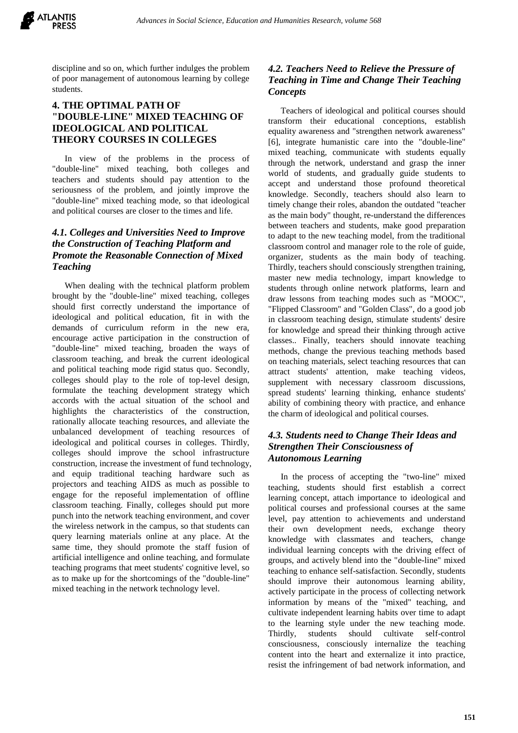discipline and so on, which further indulges the problem of poor management of autonomous learning by college students.

#### **4. THE OPTIMAL PATH OF "DOUBLE-LINE" MIXED TEACHING OF IDEOLOGICAL AND POLITICAL THEORY COURSES IN COLLEGES**

In view of the problems in the process of "double-line" mixed teaching, both colleges and teachers and students should pay attention to the seriousness of the problem, and jointly improve the "double-line" mixed teaching mode, so that ideological and political courses are closer to the times and life.

## *4.1. Colleges and Universities Need to Improve the Construction of Teaching Platform and Promote the Reasonable Connection of Mixed Teaching*

When dealing with the technical platform problem brought by the "double-line" mixed teaching, colleges should first correctly understand the importance of ideological and political education, fit in with the demands of curriculum reform in the new era, encourage active participation in the construction of "double-line" mixed teaching, broaden the ways of classroom teaching, and break the current ideological and political teaching mode rigid status quo. Secondly, colleges should play to the role of top-level design, formulate the teaching development strategy which accords with the actual situation of the school and highlights the characteristics of the construction, rationally allocate teaching resources, and alleviate the unbalanced development of teaching resources of ideological and political courses in colleges. Thirdly, colleges should improve the school infrastructure construction, increase the investment of fund technology, and equip traditional teaching hardware such as projectors and teaching AIDS as much as possible to engage for the reposeful implementation of offline classroom teaching. Finally, colleges should put more punch into the network teaching environment, and cover the wireless network in the campus, so that students can query learning materials online at any place. At the same time, they should promote the staff fusion of artificial intelligence and online teaching, and formulate teaching programs that meet students' cognitive level, so as to make up for the shortcomings of the "double-line" mixed teaching in the network technology level.

### *4.2. Teachers Need to Relieve the Pressure of Teaching in Time and Change Their Teaching Concepts*

Teachers of ideological and political courses should transform their educational conceptions, establish equality awareness and "strengthen network awareness" [6], integrate humanistic care into the "double-line" mixed teaching, communicate with students equally through the network, understand and grasp the inner world of students, and gradually guide students to accept and understand those profound theoretical knowledge. Secondly, teachers should also learn to timely change their roles, abandon the outdated "teacher as the main body" thought, re-understand the differences between teachers and students, make good preparation to adapt to the new teaching model, from the traditional classroom control and manager role to the role of guide, organizer, students as the main body of teaching. Thirdly, teachers should consciously strengthen training, master new media technology, impart knowledge to students through online network platforms, learn and draw lessons from teaching modes such as "MOOC", "Flipped Classroom" and "Golden Class", do a good job in classroom teaching design, stimulate students' desire for knowledge and spread their thinking through active classes.. Finally, teachers should innovate teaching methods, change the previous teaching methods based on teaching materials, select teaching resources that can attract students' attention, make teaching videos, supplement with necessary classroom discussions, spread students' learning thinking, enhance students' ability of combining theory with practice, and enhance the charm of ideological and political courses.

#### *4.3. Students need to Change Their Ideas and Strengthen Their Consciousness of Autonomous Learning*

In the process of accepting the "two-line" mixed teaching, students should first establish a correct learning concept, attach importance to ideological and political courses and professional courses at the same level, pay attention to achievements and understand their own development needs, exchange theory knowledge with classmates and teachers, change individual learning concepts with the driving effect of groups, and actively blend into the "double-line" mixed teaching to enhance self-satisfaction. Secondly, students should improve their autonomous learning ability, actively participate in the process of collecting network information by means of the "mixed" teaching, and cultivate independent learning habits over time to adapt to the learning style under the new teaching mode. Thirdly, students should cultivate self-control consciousness, consciously internalize the teaching content into the heart and externalize it into practice, resist the infringement of bad network information, and